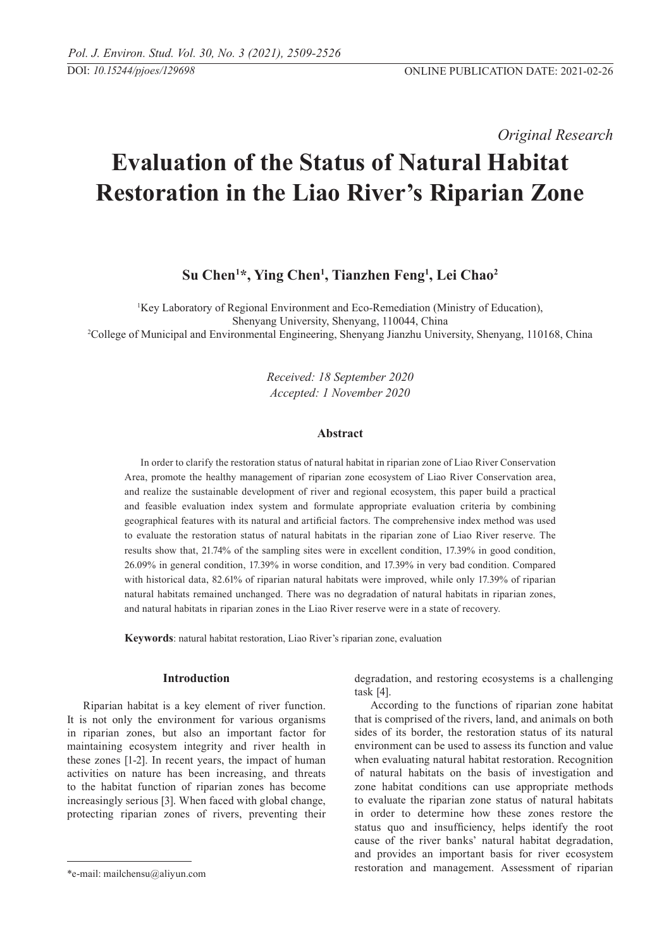*Original Research* 

# **Evaluation of the Status of Natural Habitat Restoration in the Liao River's Riparian Zone**

# **Su Chen1 \*, Ying Chen1 , Tianzhen Feng1 , Lei Chao2**

<sup>1</sup>Key Laboratory of Regional Environment and Eco-Remediation (Ministry of Education), Shenyang University, Shenyang, 110044, China 2 College of Municipal and Environmental Engineering, Shenyang Jianzhu University, Shenyang, 110168, China

> *Received: 18 September 2020 Accepted: 1 November 2020*

## **Abstract**

In order to clarify the restoration status of natural habitat in riparian zone of Liao River Conservation Area, promote the healthy management of riparian zone ecosystem of Liao River Conservation area, and realize the sustainable development of river and regional ecosystem, this paper build a practical and feasible evaluation index system and formulate appropriate evaluation criteria by combining geographical features with its natural and artificial factors. The comprehensive index method was used to evaluate the restoration status of natural habitats in the riparian zone of Liao River reserve. The results show that, 21.74% of the sampling sites were in excellent condition, 17.39% in good condition, 26.09% in general condition, 17.39% in worse condition, and 17.39% in very bad condition. Compared with historical data, 82.61% of riparian natural habitats were improved, while only 17.39% of riparian natural habitats remained unchanged. There was no degradation of natural habitats in riparian zones, and natural habitats in riparian zones in the Liao River reserve were in a state of recovery.

**Keywords**: natural habitat restoration, Liao River's riparian zone, evaluation

# **Introduction**

Riparian habitat is a key element of river function. It is not only the environment for various organisms in riparian zones, but also an important factor for maintaining ecosystem integrity and river health in these zones [1-2]. In recent years, the impact of human activities on nature has been increasing, and threats to the habitat function of riparian zones has become increasingly serious [3]. When faced with global change, protecting riparian zones of rivers, preventing their

degradation, and restoring ecosystems is a challenging task [4].

According to the functions of riparian zone habitat that is comprised of the rivers, land, and animals on both sides of its border, the restoration status of its natural environment can be used to assess its function and value when evaluating natural habitat restoration. Recognition of natural habitats on the basis of investigation and zone habitat conditions can use appropriate methods to evaluate the riparian zone status of natural habitats in order to determine how these zones restore the status quo and insufficiency, helps identify the root cause of the river banks' natural habitat degradation, and provides an important basis for river ecosystem restoration and management. Assessment of riparian

<sup>\*</sup>e-mail: mailchensu@aliyun.com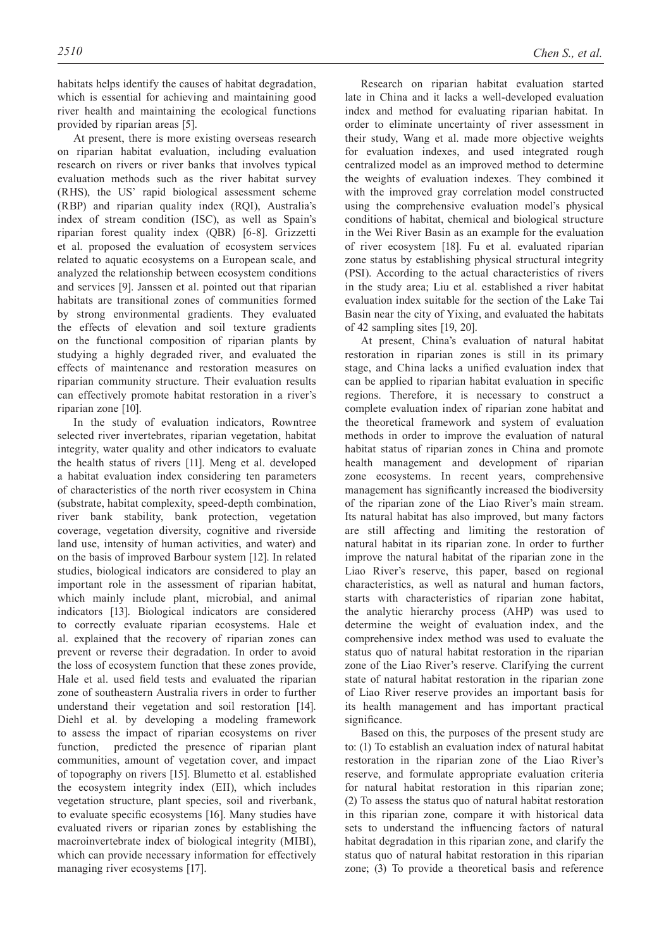habitats helps identify the causes of habitat degradation, which is essential for achieving and maintaining good river health and maintaining the ecological functions provided by riparian areas [5].

At present, there is more existing overseas research on riparian habitat evaluation, including evaluation research on rivers or river banks that involves typical evaluation methods such as the river habitat survey (RHS), the US' rapid biological assessment scheme (RBP) and riparian quality index (RQI), Australia's index of stream condition (ISC), as well as Spain's riparian forest quality index (QBR) [6-8]. Grizzetti et al. proposed the evaluation of ecosystem services related to aquatic ecosystems on a European scale, and analyzed the relationship between ecosystem conditions and services [9]. Janssen et al. pointed out that riparian habitats are transitional zones of communities formed by strong environmental gradients. They evaluated the effects of elevation and soil texture gradients on the functional composition of riparian plants by studying a highly degraded river, and evaluated the effects of maintenance and restoration measures on riparian community structure. Their evaluation results can effectively promote habitat restoration in a river's riparian zone [10].

In the study of evaluation indicators, Rowntree selected river invertebrates, riparian vegetation, habitat integrity, water quality and other indicators to evaluate the health status of rivers [11]. Meng et al. developed a habitat evaluation index considering ten parameters of characteristics of the north river ecosystem in China (substrate, habitat complexity, speed-depth combination, river bank stability, bank protection, vegetation coverage, vegetation diversity, cognitive and riverside land use, intensity of human activities, and water) and on the basis of improved Barbour system [12]. In related studies, biological indicators are considered to play an important role in the assessment of riparian habitat, which mainly include plant, microbial, and animal indicators [13]. Biological indicators are considered to correctly evaluate riparian ecosystems. Hale et al. explained that the recovery of riparian zones can prevent or reverse their degradation. In order to avoid the loss of ecosystem function that these zones provide, Hale et al. used field tests and evaluated the riparian zone of southeastern Australia rivers in order to further understand their vegetation and soil restoration [14]. Diehl et al. by developing a modeling framework to assess the impact of riparian ecosystems on river function, predicted the presence of riparian plant communities, amount of vegetation cover, and impact of topography on rivers [15]. Blumetto et al. established the ecosystem integrity index (EII), which includes vegetation structure, plant species, soil and riverbank, to evaluate specific ecosystems [16]. Many studies have evaluated rivers or riparian zones by establishing the macroinvertebrate index of biological integrity (MIBI), which can provide necessary information for effectively managing river ecosystems [17].

Research on riparian habitat evaluation started late in China and it lacks a well-developed evaluation index and method for evaluating riparian habitat. In order to eliminate uncertainty of river assessment in their study, Wang et al. made more objective weights for evaluation indexes, and used integrated rough centralized model as an improved method to determine the weights of evaluation indexes. They combined it with the improved gray correlation model constructed using the comprehensive evaluation model's physical conditions of habitat, chemical and biological structure in the Wei River Basin as an example for the evaluation of river ecosystem [18]. Fu et al. evaluated riparian zone status by establishing physical structural integrity (PSI). According to the actual characteristics of rivers in the study area; Liu et al. established a river habitat evaluation index suitable for the section of the Lake Tai Basin near the city of Yixing, and evaluated the habitats of 42 sampling sites [19, 20].

At present, China's evaluation of natural habitat restoration in riparian zones is still in its primary stage, and China lacks a unified evaluation index that can be applied to riparian habitat evaluation in specific regions. Therefore, it is necessary to construct a complete evaluation index of riparian zone habitat and the theoretical framework and system of evaluation methods in order to improve the evaluation of natural habitat status of riparian zones in China and promote health management and development of riparian zone ecosystems. In recent years, comprehensive management has significantly increased the biodiversity of the riparian zone of the Liao River's main stream. Its natural habitat has also improved, but many factors are still affecting and limiting the restoration of natural habitat in its riparian zone. In order to further improve the natural habitat of the riparian zone in the Liao River's reserve, this paper, based on regional characteristics, as well as natural and human factors, starts with characteristics of riparian zone habitat, the analytic hierarchy process (AHP) was used to determine the weight of evaluation index, and the comprehensive index method was used to evaluate the status quo of natural habitat restoration in the riparian zone of the Liao River's reserve. Clarifying the current state of natural habitat restoration in the riparian zone of Liao River reserve provides an important basis for its health management and has important practical significance.

Based on this, the purposes of the present study are to: (1) To establish an evaluation index of natural habitat restoration in the riparian zone of the Liao River's reserve, and formulate appropriate evaluation criteria for natural habitat restoration in this riparian zone; (2) To assess the status quo of natural habitat restoration in this riparian zone, compare it with historical data sets to understand the influencing factors of natural habitat degradation in this riparian zone, and clarify the status quo of natural habitat restoration in this riparian zone; (3) To provide a theoretical basis and reference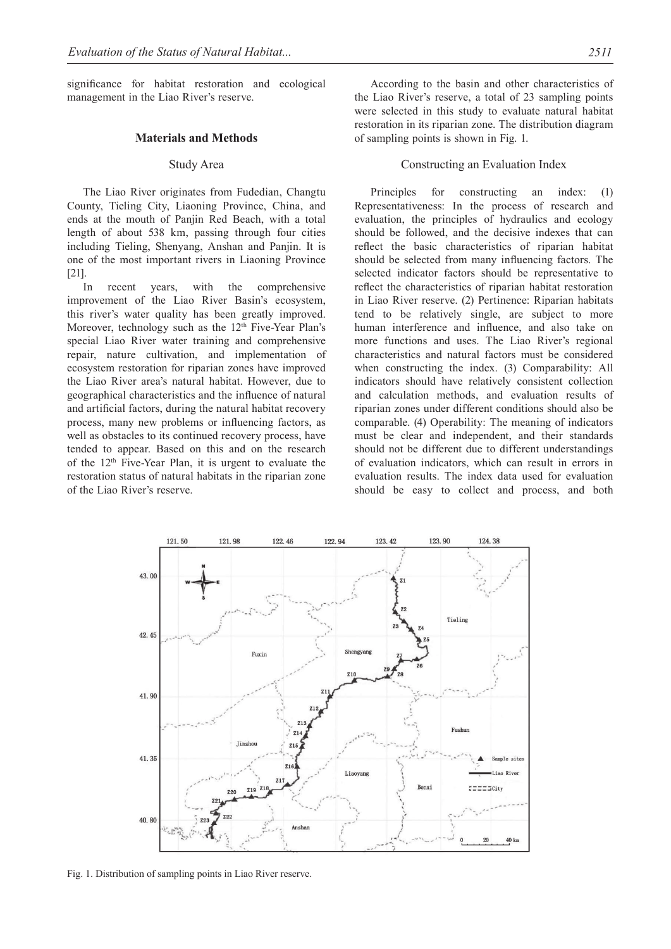significance for habitat restoration and ecological management in the Liao River's reserve.

#### **Materials and Methods**

#### Study Area

The Liao River originates from Fudedian, Changtu County, Tieling City, Liaoning Province, China, and ends at the mouth of Panjin Red Beach, with a total length of about 538 km, passing through four cities including Tieling, Shenyang, Anshan and Panjin. It is one of the most important rivers in Liaoning Province [21].

In recent years, with the comprehensive improvement of the Liao River Basin's ecosystem, this river's water quality has been greatly improved. Moreover, technology such as the  $12<sup>th</sup>$  Five-Year Plan's special Liao River water training and comprehensive repair, nature cultivation, and implementation of ecosystem restoration for riparian zones have improved the Liao River area's natural habitat. However, due to geographical characteristics and the influence of natural and artificial factors, during the natural habitat recovery process, many new problems or influencing factors, as well as obstacles to its continued recovery process, have tended to appear. Based on this and on the research of the 12th Five-Year Plan, it is urgent to evaluate the restoration status of natural habitats in the riparian zone of the Liao River's reserve.

According to the basin and other characteristics of the Liao River's reserve, a total of 23 sampling points were selected in this study to evaluate natural habitat restoration in its riparian zone. The distribution diagram of sampling points is shown in Fig. 1.

# Constructing an Evaluation Index

Principles for constructing an index: (1) Representativeness: In the process of research and evaluation, the principles of hydraulics and ecology should be followed, and the decisive indexes that can reflect the basic characteristics of riparian habitat should be selected from many influencing factors. The selected indicator factors should be representative to reflect the characteristics of riparian habitat restoration in Liao River reserve. (2) Pertinence: Riparian habitats tend to be relatively single, are subject to more human interference and influence, and also take on more functions and uses. The Liao River's regional characteristics and natural factors must be considered when constructing the index. (3) Comparability: All indicators should have relatively consistent collection and calculation methods, and evaluation results of riparian zones under different conditions should also be comparable. (4) Operability: The meaning of indicators must be clear and independent, and their standards should not be different due to different understandings of evaluation indicators, which can result in errors in evaluation results. The index data used for evaluation should be easy to collect and process, and both



Fig. 1. Distribution of sampling points in Liao River reserve.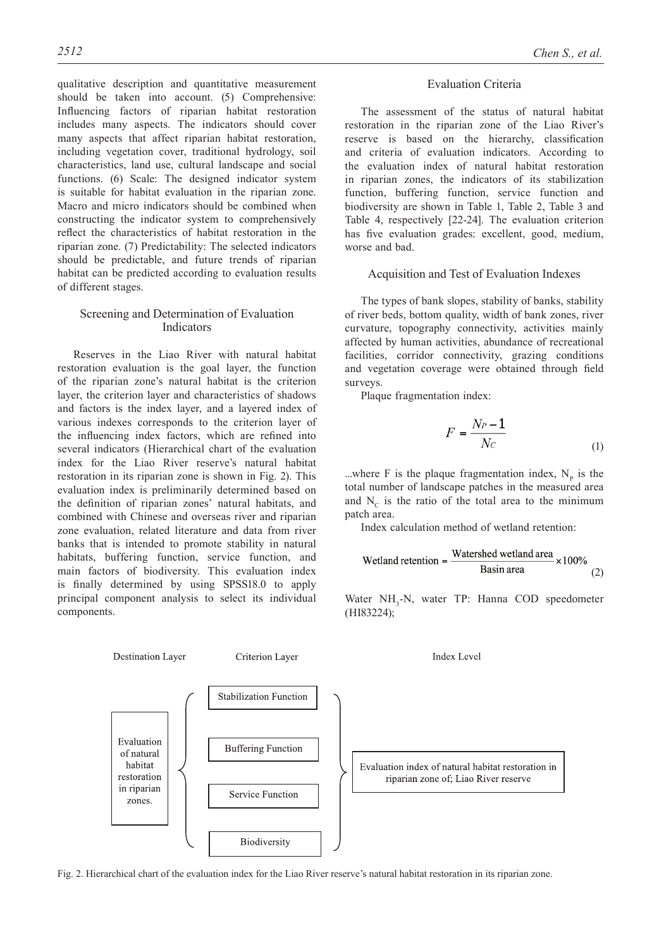qualitative description and quantitative measurement should be taken into account. (5) Comprehensive: Influencing factors of riparian habitat restoration includes many aspects. The indicators should cover many aspects that affect riparian habitat restoration, including vegetation cover, traditional hydrology, soil characteristics, land use, cultural landscape and social functions. (6) Scale: The designed indicator system is suitable for habitat evaluation in the riparian zone. Macro and micro indicators should be combined when constructing the indicator system to comprehensively reflect the characteristics of habitat restoration in the riparian zone. (7) Predictability: The selected indicators should be predictable, and future trends of riparian habitat can be predicted according to evaluation results of different stages.

#### Screening and Determination of Evaluation Indicators

Reserves in the Liao River with natural habitat restoration evaluation is the goal layer, the function of the riparian zone's natural habitat is the criterion layer, the criterion layer and characteristics of shadows and factors is the index layer, and a layered index of various indexes corresponds to the criterion layer of the influencing index factors, which are refined into several indicators (Hierarchical chart of the evaluation index for the Liao River reserve's natural habitat restoration in its riparian zone is shown in Fig. 2). This evaluation index is preliminarily determined based on the definition of riparian zones' natural habitats, and combined with Chinese and overseas river and riparian zone evaluation, related literature and data from river banks that is intended to promote stability in natural habitats, buffering function, service function, and main factors of biodiversity. This evaluation index is finally determined by using SPSS18.0 to apply principal component analysis to select its individual components.

#### Evaluation Criteria

The assessment of the status of natural habitat restoration in the riparian zone of the Liao River's reserve is based on the hierarchy, classification and criteria of evaluation indicators. According to the evaluation index of natural habitat restoration in riparian zones, the indicators of its stabilization function, buffering function, service function and biodiversity are shown in Table 1, Table 2, Table 3 and Table 4, respectively [22-24]. The evaluation criterion has five evaluation grades: excellent, good, medium, worse and bad.

#### Acquisition and Test of Evaluation Indexes

The types of bank slopes, stability of banks, stability of river beds, bottom quality, width of bank zones, river curvature, topography connectivity, activities mainly affected by human activities, abundance of recreational facilities, corridor connectivity, grazing conditions and vegetation coverage were obtained through field surveys.

Plaque fragmentation index:

$$
F = \frac{N_P - 1}{N_C} \tag{1}
$$

...where F is the plaque fragmentation index,  $N_p$  is the total number of landscape patches in the measured area and  $N_c$  is the ratio of the total area to the minimum patch area.

Index calculation method of wetland retention:

$$
Wetland retention = \frac{Watershed wetland area}{Basin area} \times 100\%
$$
 (2)

Water NH<sub>3</sub>-N, water TP: Hanna COD speedometer (HI83224);



Fig. 2. Hierarchical chart of the evaluation index for the Liao River reserve's natural habitat restoration in its riparian zone.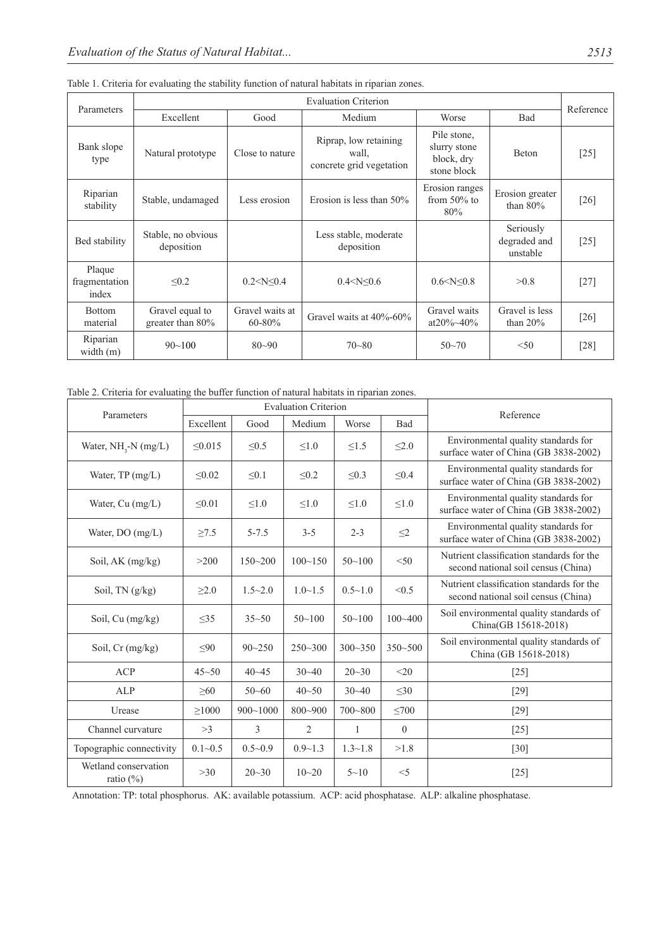| <b>Evaluation Criterion</b><br>Parameters |                                        |                                |                                                            |                                                          |                                       | Reference |
|-------------------------------------------|----------------------------------------|--------------------------------|------------------------------------------------------------|----------------------------------------------------------|---------------------------------------|-----------|
|                                           | Excellent                              | Good                           | Medium                                                     | Worse                                                    | Bad                                   |           |
| Bank slope<br>type                        | Natural prototype                      | Close to nature                | Riprap, low retaining<br>wall,<br>concrete grid vegetation | Pile stone,<br>slurry stone<br>block, dry<br>stone block | <b>Beton</b>                          | $[25]$    |
| Riparian<br>stability                     | Stable, undamaged                      | Less erosion                   | Erosion is less than $50\%$                                | Erosion ranges<br>from $50\%$ to<br>80%                  | Erosion greater<br>than $80\%$        | [26]      |
| Bed stability                             | Stable, no obvious<br>deposition       |                                | Less stable, moderate<br>deposition                        |                                                          | Seriously<br>degraded and<br>unstable | $[25]$    |
| Plaque<br>fragmentation<br>index          | < 0.2                                  | $0.2 < N \leq 0.4$             | $0.4 < N \leq 0.6$                                         | 0.6 < N < 0.8                                            | >0.8                                  | $[27]$    |
| <b>Bottom</b><br>material                 | Gravel equal to<br>greater than $80\%$ | Gravel waits at<br>$60 - 80\%$ | Gravel waits at 40%-60%                                    | Gravel waits<br>at20\% \ 40\%                            | Gravel is less<br>than $20\%$         | [26]      |
| Riparian<br>width $(m)$                   | $90 - 100$                             | $80 - 90$                      | $70 - 80$                                                  | $50 - 70$                                                | < 50                                  | [28]      |

Table 1. Criteria for evaluating the stability function of natural habitats in riparian zones.

Table 2. Criteria for evaluating the buffer function of natural habitats in riparian zones.

| Parameters                           |             |                | Reference      |                |              |                                                                                  |
|--------------------------------------|-------------|----------------|----------------|----------------|--------------|----------------------------------------------------------------------------------|
|                                      | Excellent   | Good           | Medium         | Worse          | <b>Bad</b>   |                                                                                  |
| Water, $NH3-N$ (mg/L)                | < 0.015     | $\leq 0.5$     | $\leq 1.0$     | $\leq1.5$      | $\leq 2.0$   | Environmental quality standards for<br>surface water of China (GB 3838-2002)     |
| Water, $TP(mg/L)$                    | < 0.02      | $\leq 0.1$     | < 0.2          | $\leq 0.3$     | $\leq 0.4$   | Environmental quality standards for<br>surface water of China (GB 3838-2002)     |
| Water, Cu (mg/L)                     | $\leq 0.01$ | $\leq1.0$      | $\leq 1.0$     | $\leq 1.0$     | $\leq1.0$    | Environmental quality standards for<br>surface water of China (GB 3838-2002)     |
| Water, DO (mg/L)                     | $\geq 7.5$  | $5 - 7.5$      | $3 - 5$        | $2 - 3$        | $\leq$ 2     | Environmental quality standards for<br>surface water of China (GB 3838-2002)     |
| Soil, AK (mg/kg)                     | >200        | $150 - 200$    | $100 - 150$    | $50 - 100$     | < 50         | Nutrient classification standards for the<br>second national soil census (China) |
| Soil, TN (g/kg)                      | $\geq 2.0$  | $1.5 - 2.0$    | $1.0 \sim 1.5$ | $0.5 \sim 1.0$ | < 0.5        | Nutrient classification standards for the<br>second national soil census (China) |
| Soil, Cu (mg/kg)                     | $\leq$ 35   | $35 - 50$      | $50 - 100$     | $50 - 100$     | $100 - 400$  | Soil environmental quality standards of<br>China(GB 15618-2018)                  |
| Soil, $Cr$ (mg/kg)                   | $\leq 90$   | $90 - 250$     | $250 - 300$    | $300 - 350$    | $350 - 500$  | Soil environmental quality standards of<br>China (GB 15618-2018)                 |
| <b>ACP</b>                           | $45 - 50$   | $40 - 45$      | $30 - 40$      | $20 - 30$      | $20$         | $[25]$                                                                           |
| ALP                                  | $\geq 60$   | $50 - 60$      | $40 - 50$      | $30 - 40$      | $\leq 30$    | $[29]$                                                                           |
| Urease                               | $\geq 1000$ | $900 - 1000$   | $800 - 900$    | $700 - 800$    | $\leq 700$   | $[29]$                                                                           |
| Channel curvature                    | >3          | $\overline{3}$ | $\overline{2}$ | 1              | $\mathbf{0}$ | $[25]$                                                                           |
| Topographic connectivity             | $0.1 - 0.5$ | $0.5 - 0.9$    | $0.9 - 1.3$    | $1.3 - 1.8$    | >1.8         | $[30]$                                                                           |
| Wetland conservation<br>ratio $(\%)$ | >30         | $20 - 30$      | $10 - 20$      | $5 - 10$       | $<$ 5        | $[25]$                                                                           |

Annotation: TP: total phosphorus. AK: available potassium. ACP: acid phosphatase. ALP: alkaline phosphatase.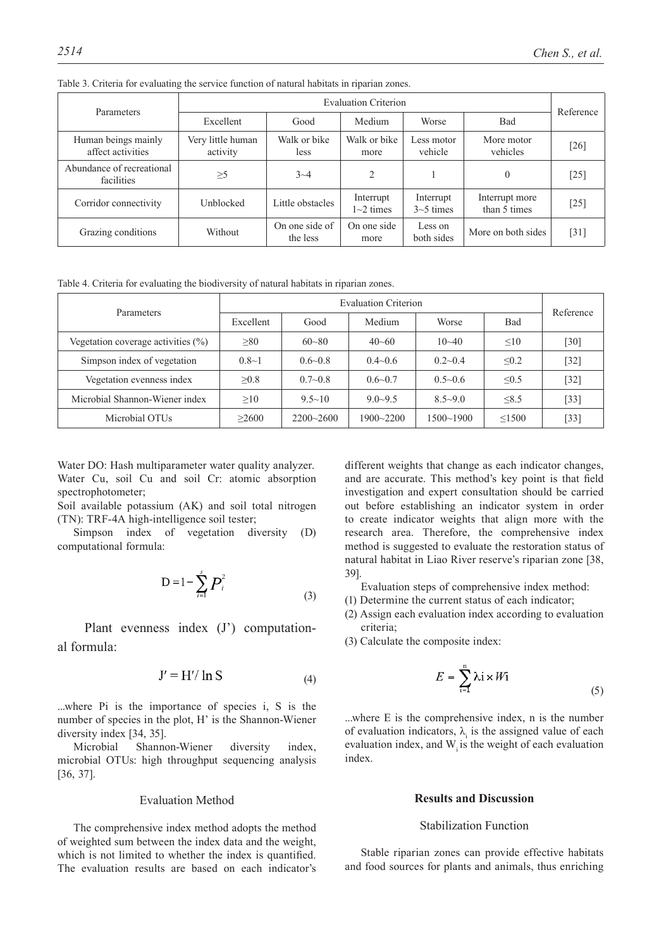| Parameters                               |                               |                            | <b>Evaluation Criterion</b>             |                          |                                | Reference |
|------------------------------------------|-------------------------------|----------------------------|-----------------------------------------|--------------------------|--------------------------------|-----------|
|                                          | Excellent                     | Medium<br>Good             |                                         | Worse                    | Bad                            |           |
| Human beings mainly<br>affect activities | Very little human<br>activity | Walk or bike<br>less       | Walk or bike<br>more                    | Less motor<br>vehicle    | More motor<br>vehicles         | [26]      |
| Abundance of recreational<br>facilities  | $\geq 5$                      | $3 - 4$                    | $\mathfrak{D}$                          |                          | $\theta$                       | [25]      |
| Corridor connectivity                    | Unblocked                     | Little obstacles           | Interrupt<br>$1\text{-}2 \text{ times}$ | Interrupt<br>$3-5$ times | Interrupt more<br>than 5 times | [25]      |
| Grazing conditions                       | Without                       | On one side of<br>the less | On one side<br>more                     | Less on<br>both sides    | More on both sides             | [31]      |

Table 3. Criteria for evaluating the service function of natural habitats in riparian zones.

Table 4. Criteria for evaluating the biodiversity of natural habitats in riparian zones.

| Parameters                            |           | Reference     |                |               |             |        |
|---------------------------------------|-----------|---------------|----------------|---------------|-------------|--------|
|                                       | Excellent | Good          | Medium         | Worse         | Bad         |        |
| Vegetation coverage activities $(\%)$ | $\geq 80$ | $60 - 80$     | $40 - 60$      | $10 - 40$     | $\leq 10$   | $[30]$ |
| Simpson index of vegetation           | $0.8 - 1$ | $0.6 - 0.8$   | $0.4 \sim 0.6$ | $0.2 - 0.4$   | $\leq 0.2$  | $[32]$ |
| Vegetation evenness index             | >0.8      | $0.7 - 0.8$   | $0.6 - 0.7$    | $0.5 - 0.6$   | $\leq 0.5$  | $[32]$ |
| Microbial Shannon-Wiener index        | >10       | $9.5 \sim 10$ | $9.0 - 9.5$    | $8.5 - 9.0$   | $\leq 8.5$  | $[33]$ |
| Microbial OTUs                        | >2600     | $2200 - 2600$ | 1900~2200      | $1500 - 1900$ | $\leq 1500$ | $[33]$ |

Water DO: Hash multiparameter water quality analyzer. Water Cu, soil Cu and soil Cr: atomic absorption spectrophotometer;

Soil available potassium (AK) and soil total nitrogen (TN): TRF-4A high-intelligence soil tester;

Simpson index of vegetation diversity (D) computational formula:

$$
D = 1 - \sum_{i=1}^{s} P_i^2
$$
 (3)

Plant evenness index (J') computational formula:

$$
J' = H'/\ln S \tag{4}
$$

...where Pi is the importance of species i, S is the number of species in the plot, H' is the Shannon-Wiener diversity index [34, 35].

Microbial Shannon-Wiener diversity index, microbial OTUs: high throughput sequencing analysis [36, 37].

## Evaluation Method

The comprehensive index method adopts the method of weighted sum between the index data and the weight, which is not limited to whether the index is quantified. The evaluation results are based on each indicator's different weights that change as each indicator changes, and are accurate. This method's key point is that field investigation and expert consultation should be carried out before establishing an indicator system in order to create indicator weights that align more with the research area. Therefore, the comprehensive index method is suggested to evaluate the restoration status of natural habitat in Liao River reserve's riparian zone [38, 39].

- Evaluation steps of comprehensive index method:
- (1) Determine the current status of each indicator;
- (2) Assign each evaluation index according to evaluation criteria;
- (3) Calculate the composite index:

$$
E = \sum_{i=1}^{n} \lambda i \times Wi \tag{5}
$$

...where E is the comprehensive index, n is the number of evaluation indicators,  $\lambda_i$  is the assigned value of each evaluation index, and  $W_i$  is the weight of each evaluation index.

# **Results and Discussion**

#### Stabilization Function

Stable riparian zones can provide effective habitats and food sources for plants and animals, thus enriching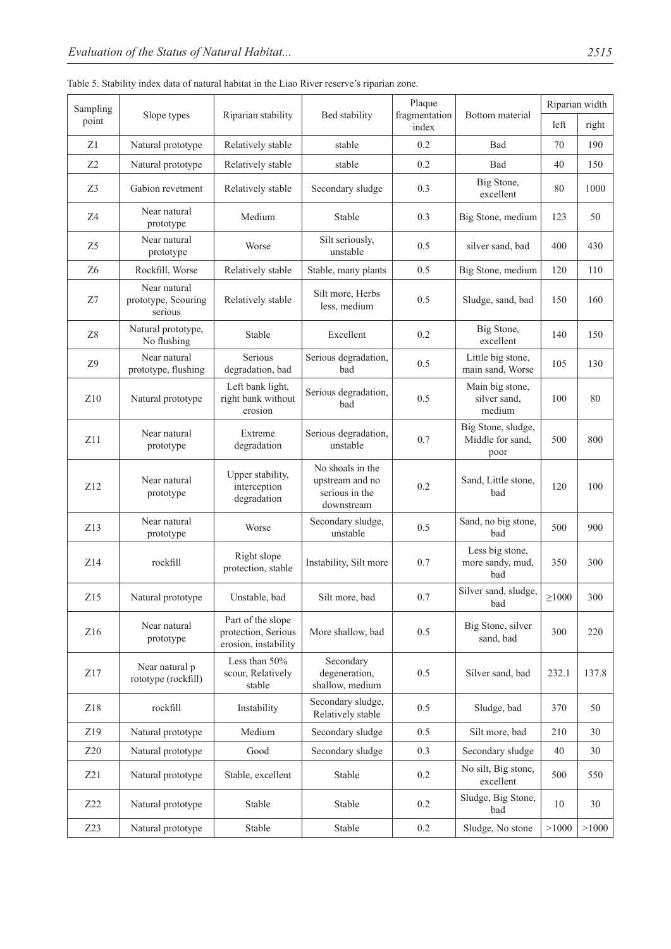|  |  |  |  | Table 5. Stability index data of natural habitat in the Liao River reserve's riparian zone. |
|--|--|--|--|---------------------------------------------------------------------------------------------|
|--|--|--|--|---------------------------------------------------------------------------------------------|

| Sampling        |                                                |                                                                  |                                                                     | Plaque                 |                                                |             | Riparian width |
|-----------------|------------------------------------------------|------------------------------------------------------------------|---------------------------------------------------------------------|------------------------|------------------------------------------------|-------------|----------------|
| point           | Slope types                                    | Riparian stability                                               | Bed stability                                                       | fragmentation<br>index | Bottom material                                | left        | right          |
| Z1              | Natural prototype                              | Relatively stable                                                | stable                                                              | 0.2                    | Bad                                            | 70          | 190            |
| Z <sub>2</sub>  | Natural prototype                              | Relatively stable                                                | stable                                                              | 0.2                    | Bad                                            | 40          | 150            |
| Z3              | Gabion revetment                               | Relatively stable                                                | Secondary sludge                                                    | 0.3                    | Big Stone,<br>excellent                        | 80          | 1000           |
| Z4              | Near natural<br>prototype                      | Medium                                                           | Stable                                                              | 0.3                    | Big Stone, medium                              | 123         | 50             |
| Z <sub>5</sub>  | Near natural<br>prototype                      | Worse                                                            | Silt seriously,<br>unstable                                         | 0.5                    | silver sand, bad                               | 400         | 430            |
| Z <sub>6</sub>  | Rockfill, Worse                                | Relatively stable                                                | Stable, many plants                                                 | 0.5                    | Big Stone, medium                              | 120         | 110            |
| Z7              | Near natural<br>prototype, Scouring<br>serious | Relatively stable                                                | Silt more, Herbs<br>less, medium                                    | 0.5                    | Sludge, sand, bad                              | 150         | 160            |
| Z8              | Natural prototype,<br>No flushing              | Stable                                                           | Excellent                                                           | 0.2                    | Big Stone,<br>excellent                        | 140         | 150            |
| Z9              | Near natural<br>prototype, flushing            | Serious<br>degradation, bad                                      | Serious degradation,<br>bad                                         | 0.5                    | Little big stone,<br>main sand, Worse          | 105         | 130            |
| Z10             | Natural prototype                              | Left bank light,<br>right bank without<br>erosion                | Serious degradation,<br>bad                                         | 0.5                    | Main big stone,<br>silver sand,<br>medium      | 100         | 80             |
| Z11             | Near natural<br>prototype                      | Extreme<br>degradation                                           | Serious degradation,<br>unstable                                    | 0.7                    | Big Stone, sludge,<br>Middle for sand,<br>poor | 500         | 800            |
| Z12             | Near natural<br>prototype                      | Upper stability,<br>interception<br>degradation                  | No shoals in the<br>upstream and no<br>serious in the<br>downstream | 0.2                    | Sand, Little stone,<br>bad                     | 120         | 100            |
| Z13             | Near natural<br>prototype                      | Worse                                                            | Secondary sludge,<br>unstable                                       | 0.5                    | Sand, no big stone,<br>bad                     | 500         | 900            |
| Z14             | rockfill                                       | Right slope<br>protection, stable                                | Instability, Silt more                                              | 0.7                    | Less big stone,<br>more sandy, mud,<br>bad     | 350         | 300            |
| Z15             | Natural prototype                              | Unstable, bad                                                    | Silt more, bad                                                      | 0.7                    | Silver sand, sludge,<br>bad                    | $\geq$ 1000 | 300            |
| Z16             | Near natural<br>prototype                      | Part of the slope<br>protection, Serious<br>erosion, instability | More shallow, bad                                                   | 0.5                    | Big Stone, silver<br>sand, bad                 | 300         | 220            |
| $\rm Z17$       | Near natural p<br>rototype (rockfill)          | Less than 50%<br>scour, Relatively<br>stable                     | Secondary<br>degeneration,<br>shallow, medium                       | 0.5                    | Silver sand, bad                               | 232.1       | 137.8          |
| Z18             | rockfill                                       | Instability                                                      | Secondary sludge,<br>Relatively stable                              | 0.5                    | Sludge, bad                                    | 370         | 50             |
| Z19             | Natural prototype                              | Medium                                                           | Secondary sludge                                                    | 0.5                    | Silt more, bad                                 | 210         | 30             |
| Z20             | Natural prototype                              | Good                                                             | Secondary sludge                                                    | 0.3                    | Secondary sludge                               | 40          | 30             |
| Z21             | Natural prototype                              | Stable, excellent                                                | Stable                                                              | 0.2                    | No silt, Big stone,<br>excellent               | 500         | 550            |
| Z22             | Natural prototype                              | Stable                                                           | Stable                                                              | 0.2                    | Sludge, Big Stone,<br>bad                      | 10          | 30             |
| Z <sub>23</sub> | Natural prototype                              | Stable                                                           | Stable                                                              | 0.2                    | Sludge, No stone                               | >1000       | >1000          |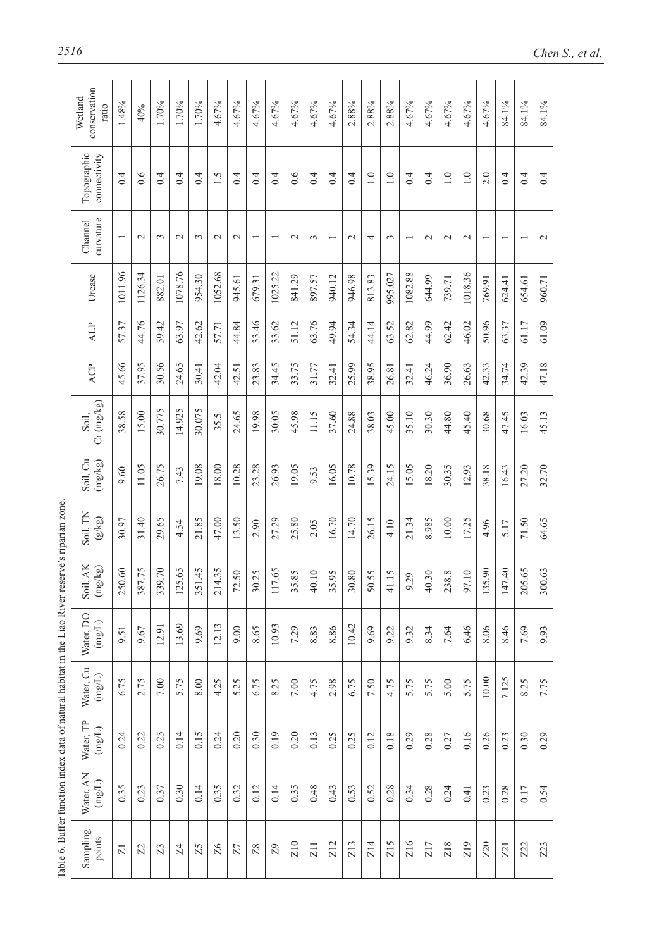| Topographic<br>connectivity<br>curvature<br>Channel | 0.4                     |               |                |              |        |               |               |                          | 4.67%                    | 4.67%         | 4.67%       | 4.67%         | 2.88%           | 2.88%            | 2.88%            | 4.67%           | 4.67%  | 4.67%            | 4.67%           | 4.67%                    | 84.1%                    | 84.1%                    | 84.1%           |
|-----------------------------------------------------|-------------------------|---------------|----------------|--------------|--------|---------------|---------------|--------------------------|--------------------------|---------------|-------------|---------------|-----------------|------------------|------------------|-----------------|--------|------------------|-----------------|--------------------------|--------------------------|--------------------------|-----------------|
|                                                     |                         | 0.6           | 0.4            | 0.4          | 0.4    | 1.5           | 0.4           | 0.4                      | 0.4                      | 0.6           | 0.4         | 0.4           | 0.4             | $\overline{1.0}$ | $\overline{1.0}$ | 0.4             | 0.4    | $\overline{1.0}$ | 1.0             | 2.0                      | 0.4                      | 0.4                      | 0.4             |
|                                                     |                         | $\mathcal{L}$ | 3              | $\sim$       | 3      | $\mathcal{L}$ | $\mathcal{L}$ | $\overline{\phantom{0}}$ | $\overline{\phantom{0}}$ | $\mathcal{L}$ | $\tilde{3}$ |               | $\mathbf{\sim}$ | 4                | $\epsilon$       |                 | $\sim$ | $\sim$           | $\mathbf{\sim}$ | $\overline{\phantom{0}}$ | $\overline{\phantom{0}}$ | $\overline{\phantom{0}}$ | $\mathbf{\sim}$ |
| Urease                                              | 1011.96                 | 1126.34       | 882.01         | 1078.76      | 954.30 | 1052.68       | 945.61        | 679.31                   | 1025.22                  | 841.29        | 897.57      | 940.12        | 946.98          | 813.83           | 995.027          | 1082.88         | 644.99 | 739.71           | 1018.36         | 769.91                   | 624.41                   | 654.61                   | 960.71          |
| ALP                                                 | 57.37                   | 44.76         | 59.42          | 63.97        | 42.62  | 57.71         | 44.84         | 33.46                    | 33.62                    | 51.12         | 63.76       | 49.94         | 54.34           | 44.14            | 63.52            | 62.82           | 44.99  | 62.42            | 46.02           | 50.96                    | 63.37                    | 61.17                    | 61.09           |
| ACP                                                 | 45.66                   | 37.95         | 30.56          | 24.65        | 30.41  | 42.04         | 42.51         | 23.83                    | 34.45                    | 33.75         | 31.77       | 32.41         | 25.99           | 38.95            | 26.81            | 32.41           | 46.24  | 36.90            | 26.63           | 42.33                    | 34.74                    | 42.39                    | 47.18           |
| $Cr$ (mg/kg)<br>Soil,                               | 38.58                   | 15.00         | 30.775         | 14.925       | 30.075 | 35.5          | 24.65         | 19.98                    | 30.05                    | 45.98         | 11.15       | 37.60         | 24.88           | 38.03            | 45.00            | 35.10           | 30.30  | 44.80            | 45.40           | 30.68                    | 47.45                    | 16.03                    | 45.13           |
| Soil, Cu<br>(mg/kg)                                 | 9.60                    | 11.05         | 26.75          | 7.43         | 19.08  | 18.00         | 10.28         | 23.28                    | 26.93                    | 19.05         | 9.53        | 16.05         | 10.78           | 15.39            | 24.15            | 15.05           | 18.20  | 30.35            | 12.93           | 38.18                    | 16.43                    | 27.20                    | 32.70           |
| Soil, TN<br>(g/kg)                                  | 30.97                   | 31.40         | 29.65          | 4.54         | 21.85  | 47.00         | 13.50         | 2.90                     | 27.29                    | 25.80         | 2.05        | 16.70         | 14.70           | 26.15            | 4.10             | 21.34           | 8.985  | 10.00            | 17.25           | 4.96                     | 5.17                     | 71.50                    | 64.65           |
| Soil, AK $(\text{mg/kg})$                           | 250.60                  | 387.75        | 339.70         | 125.65       | 351.45 | 214.35        | 72.50         | 30.25                    | 117.65                   | 5.85<br>GJ.   | 40.10       | \$5.95<br>GJ. | 30.80           | 50.55            | 41.15            | 9.29            | 40.30  | 238.8            | 97.10           | 135.90                   | 147.40                   | 205.65                   | 300.63          |
| Water, DO<br>$(\mathrm{mgL})$                       | 9.51                    | 9.67          | 12.91          | 13.69        | 9.69   | 12.13         | 9.00          | 8.65                     | 10.93                    | 7.29          | 8.83        | 8.86          | 10.42           | 9.69             | 9.22             | 9.32            | 8.34   | 7.64             | 6.46            | 8.06                     | 8.46                     | 7.69                     | 9.93            |
| Water, Cu<br>$(\mathrm{mg/L})$                      | 6.75                    | 2.75          | 7.00           | 5.75         | 8.00   | 4.25          | 5.25          | 6.75                     | 8.25                     | $7.00\,$      | 4.75        | 2.98          | 6.75            | 7.50             | 4.75             | 5.75            | 5.75   | 5.00             | 5.75            | $10.00$                  | 7.125                    | 8.25                     | 7.75            |
| Water, TP<br>$(\mathrm{mgL})$                       | 0.24                    | 0.22          | 0.25           | 0.14         | 0.15   | 0.24          | 0.20          | 0.30                     | 0.19                     | 0.20          | 0.13        | 0.25          | 0.25            | 0.12             | 0.18             | 0.29            | 0.28   | 0.27             | 0.16            | 0.26                     | 0.23                     | 0.30                     | 0.29            |
| Water, AN<br>(mg/L)                                 | 0.35                    | 0.23          | 0.37           | 0.30         | 0.14   | 0.35          | 0.32          | 0.12                     | 0.14                     | 0.35          | 0.48        | 0.43          | 0.53            | 0.52             | 0.28             | 0.34            | 0.28   | 0.24             | 0.41            | 0.23                     | 0.28                     | 0.17                     | 0.54            |
|                                                     | $\overline{\mathbf{z}}$ | $\mathbb{Z}$  | $\mathbb{Z}^3$ | $\mathbb{Z}$ | Z5     | 26            | Z7            | Z8                       | Z <sub>9</sub>           | <b>Z10</b>    | Z11         | Z12           | <b>Z13</b>      | Z14              | Z <sub>15</sub>  | Z <sub>16</sub> | Z17    | <b>Z18</b>       | Z <sub>19</sub> | <b>Z20</b>               | <b>Z21</b>               | Z22                      | Z3              |
|                                                     | Sampling<br>points      |               |                |              |        |               |               |                          |                          |               |             |               |                 |                  |                  |                 |        |                  |                 |                          |                          |                          |                 |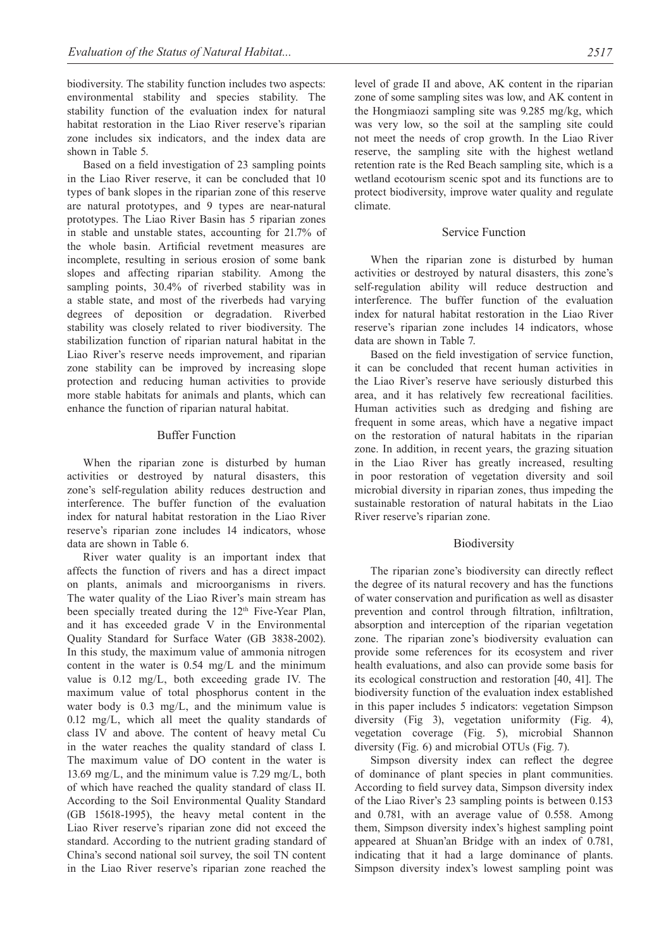biodiversity. The stability function includes two aspects: environmental stability and species stability. The stability function of the evaluation index for natural habitat restoration in the Liao River reserve's riparian zone includes six indicators, and the index data are shown in Table 5.

Based on a field investigation of 23 sampling points in the Liao River reserve, it can be concluded that 10 types of bank slopes in the riparian zone of this reserve are natural prototypes, and 9 types are near-natural prototypes. The Liao River Basin has 5 riparian zones in stable and unstable states, accounting for 21.7% of the whole basin. Artificial revetment measures are incomplete, resulting in serious erosion of some bank slopes and affecting riparian stability. Among the sampling points, 30.4% of riverbed stability was in a stable state, and most of the riverbeds had varying degrees of deposition or degradation. Riverbed stability was closely related to river biodiversity. The stabilization function of riparian natural habitat in the Liao River's reserve needs improvement, and riparian zone stability can be improved by increasing slope protection and reducing human activities to provide more stable habitats for animals and plants, which can enhance the function of riparian natural habitat.

#### Buffer Function

When the riparian zone is disturbed by human activities or destroyed by natural disasters, this zone's self-regulation ability reduces destruction and interference. The buffer function of the evaluation index for natural habitat restoration in the Liao River reserve's riparian zone includes 14 indicators, whose data are shown in Table 6.

River water quality is an important index that affects the function of rivers and has a direct impact on plants, animals and microorganisms in rivers. The water quality of the Liao River's main stream has been specially treated during the 12<sup>th</sup> Five-Year Plan, and it has exceeded grade V in the Environmental Quality Standard for Surface Water (GB 3838-2002). In this study, the maximum value of ammonia nitrogen content in the water is 0.54 mg/L and the minimum value is 0.12 mg/L, both exceeding grade IV. The maximum value of total phosphorus content in the water body is 0.3 mg/L, and the minimum value is 0.12 mg/L, which all meet the quality standards of class IV and above. The content of heavy metal Cu in the water reaches the quality standard of class I. The maximum value of DO content in the water is 13.69 mg/L, and the minimum value is 7.29 mg/L, both of which have reached the quality standard of class II. According to the Soil Environmental Quality Standard (GB 15618-1995), the heavy metal content in the Liao River reserve's riparian zone did not exceed the standard. According to the nutrient grading standard of China's second national soil survey, the soil TN content in the Liao River reserve's riparian zone reached the level of grade II and above, AK content in the riparian zone of some sampling sites was low, and AK content in the Hongmiaozi sampling site was 9.285 mg/kg, which was very low, so the soil at the sampling site could not meet the needs of crop growth. In the Liao River reserve, the sampling site with the highest wetland retention rate is the Red Beach sampling site, which is a wetland ecotourism scenic spot and its functions are to protect biodiversity, improve water quality and regulate climate.

#### Service Function

When the riparian zone is disturbed by human activities or destroyed by natural disasters, this zone's self-regulation ability will reduce destruction and interference. The buffer function of the evaluation index for natural habitat restoration in the Liao River reserve's riparian zone includes 14 indicators, whose data are shown in Table 7.

Based on the field investigation of service function, it can be concluded that recent human activities in the Liao River's reserve have seriously disturbed this area, and it has relatively few recreational facilities. Human activities such as dredging and fishing are frequent in some areas, which have a negative impact on the restoration of natural habitats in the riparian zone. In addition, in recent years, the grazing situation in the Liao River has greatly increased, resulting in poor restoration of vegetation diversity and soil microbial diversity in riparian zones, thus impeding the sustainable restoration of natural habitats in the Liao River reserve's riparian zone.

#### **Biodiversity**

The riparian zone's biodiversity can directly reflect the degree of its natural recovery and has the functions of water conservation and purification as well as disaster prevention and control through filtration, infiltration, absorption and interception of the riparian vegetation zone. The riparian zone's biodiversity evaluation can provide some references for its ecosystem and river health evaluations, and also can provide some basis for its ecological construction and restoration [40, 41]. The biodiversity function of the evaluation index established in this paper includes 5 indicators: vegetation Simpson diversity (Fig 3), vegetation uniformity (Fig. 4), vegetation coverage (Fig. 5), microbial Shannon diversity (Fig. 6) and microbial OTUs (Fig. 7).

Simpson diversity index can reflect the degree of dominance of plant species in plant communities. According to field survey data, Simpson diversity index of the Liao River's 23 sampling points is between 0.153 and 0.781, with an average value of 0.558. Among them, Simpson diversity index's highest sampling point appeared at Shuan'an Bridge with an index of 0.781, indicating that it had a large dominance of plants. Simpson diversity index's lowest sampling point was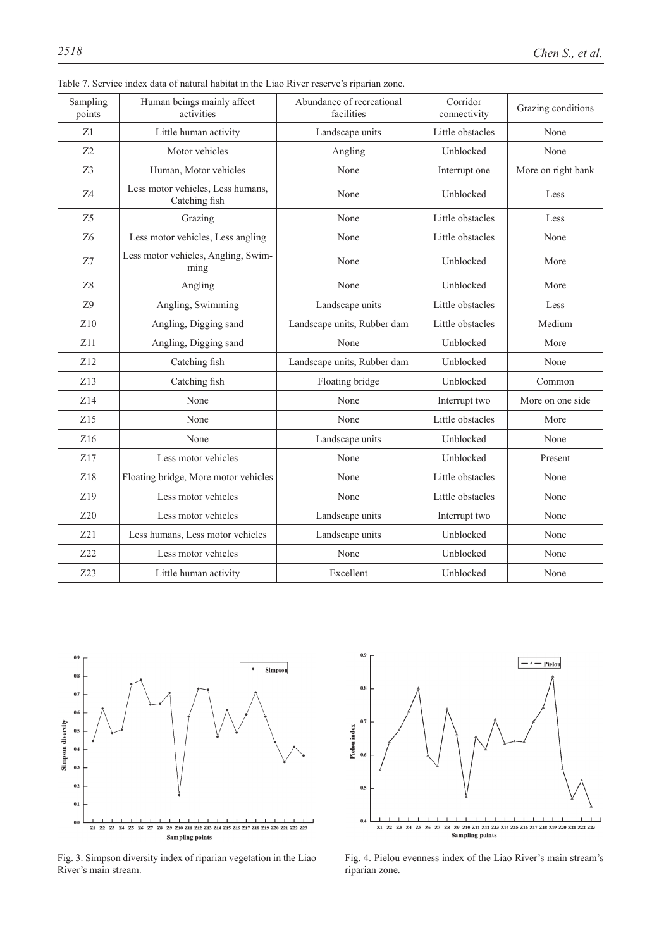| Sampling<br>points | Human beings mainly affect<br>activities           | Abundance of recreational<br>facilities | Corridor<br>connectivity | Grazing conditions |
|--------------------|----------------------------------------------------|-----------------------------------------|--------------------------|--------------------|
| Z1                 | Little human activity                              | Landscape units                         | Little obstacles         | None               |
| Z <sub>2</sub>     | Motor vehicles                                     | Angling                                 | Unblocked                | None               |
| Z <sub>3</sub>     | Human, Motor vehicles                              | None                                    | Interrupt one            | More on right bank |
| Z4                 | Less motor vehicles, Less humans,<br>Catching fish | None                                    | Unblocked                | Less               |
| Z <sub>5</sub>     | Grazing                                            | None                                    | Little obstacles         | Less               |
| Z <sub>6</sub>     | Less motor vehicles, Less angling                  | None                                    | Little obstacles         | None               |
| Z7                 | Less motor vehicles, Angling, Swim-<br>ming        | None                                    | Unblocked                | More               |
| Z8                 | Angling                                            | None                                    | Unblocked                | More               |
| Z9                 | Angling, Swimming                                  | Landscape units                         | Little obstacles         | Less               |
| Z10                | Angling, Digging sand                              | Landscape units, Rubber dam             | Little obstacles         | Medium             |
| Z11                | Angling, Digging sand                              | None                                    | Unblocked                | More               |
| Z12                | Catching fish                                      | Landscape units, Rubber dam             | Unblocked                | None               |
| Z13                | Catching fish                                      | Floating bridge                         | Unblocked                | Common             |
| Z14                | None                                               | None                                    | Interrupt two            | More on one side   |
| Z15                | None                                               | None                                    | Little obstacles         | More               |
| Z16                | None                                               | Landscape units                         | Unblocked                | None               |
| Z17                | Less motor vehicles                                | None                                    | Unblocked                | Present            |
| Z18                | Floating bridge, More motor vehicles               | None                                    | Little obstacles         | None               |
| Z19                | Less motor vehicles                                | None                                    | Little obstacles         | None               |
| Z20                | Less motor vehicles                                | Landscape units                         | Interrupt two            | None               |
| Z21                | Less humans, Less motor vehicles                   | Landscape units                         | Unblocked                | None               |
| Z22                | Less motor vehicles                                | None                                    | Unblocked                | None               |
| Z <sub>23</sub>    | Little human activity                              | Excellent                               | Unblocked                | None               |

Table 7. Service index data of natural habitat in the Liao River reserve's riparian zone.



Fig. 3. Simpson diversity index of riparian vegetation in the Liao River's main stream.



Fig. 4. Pielou evenness index of the Liao River's main stream's riparian zone.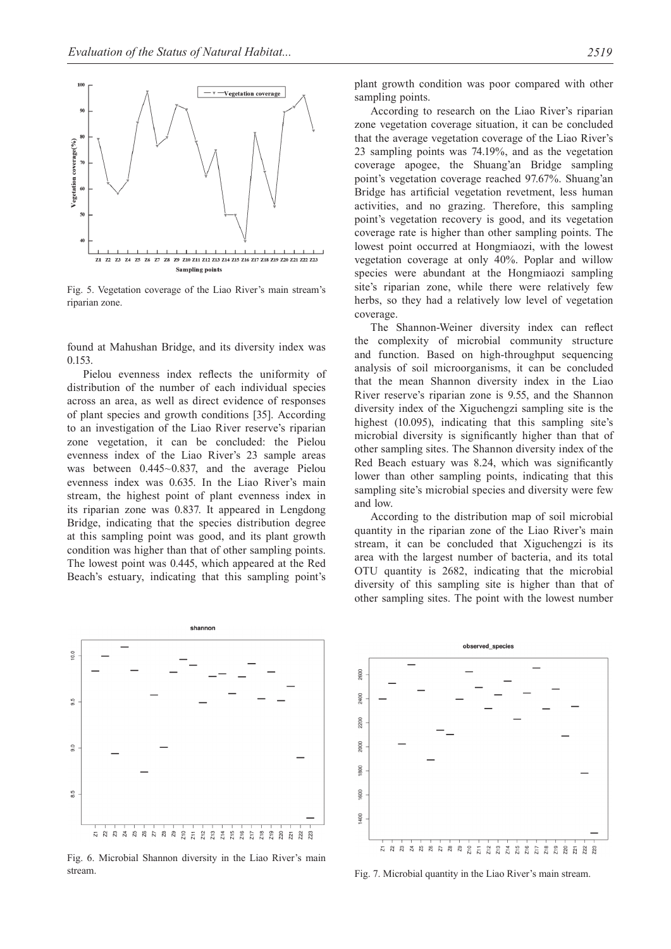

Fig. 5. Vegetation coverage of the Liao River's main stream's riparian zone.

found at Mahushan Bridge, and its diversity index was 0.153.

Pielou evenness index reflects the uniformity of distribution of the number of each individual species across an area, as well as direct evidence of responses of plant species and growth conditions [35]. According to an investigation of the Liao River reserve's riparian zone vegetation, it can be concluded: the Pielou evenness index of the Liao River's 23 sample areas was between 0.445~0.837, and the average Pielou evenness index was 0.635. In the Liao River's main stream, the highest point of plant evenness index in its riparian zone was 0.837. It appeared in Lengdong Bridge, indicating that the species distribution degree at this sampling point was good, and its plant growth condition was higher than that of other sampling points. The lowest point was 0.445, which appeared at the Red Beach's estuary, indicating that this sampling point's



Fig. 6. Microbial Shannon diversity in the Liao River's main stream. Fig. 7. Microbial quantity in the Liao River's main stream.

plant growth condition was poor compared with other sampling points.

According to research on the Liao River's riparian zone vegetation coverage situation, it can be concluded that the average vegetation coverage of the Liao River's 23 sampling points was 74.19%, and as the vegetation coverage apogee, the Shuang'an Bridge sampling point's vegetation coverage reached 97.67%. Shuang'an Bridge has artificial vegetation revetment, less human activities, and no grazing. Therefore, this sampling point's vegetation recovery is good, and its vegetation coverage rate is higher than other sampling points. The lowest point occurred at Hongmiaozi, with the lowest vegetation coverage at only 40%. Poplar and willow species were abundant at the Hongmiaozi sampling site's riparian zone, while there were relatively few herbs, so they had a relatively low level of vegetation coverage.

The Shannon-Weiner diversity index can reflect the complexity of microbial community structure and function. Based on high-throughput sequencing analysis of soil microorganisms, it can be concluded that the mean Shannon diversity index in the Liao River reserve's riparian zone is 9.55, and the Shannon diversity index of the Xiguchengzi sampling site is the highest (10.095), indicating that this sampling site's microbial diversity is significantly higher than that of other sampling sites. The Shannon diversity index of the Red Beach estuary was 8.24, which was significantly lower than other sampling points, indicating that this sampling site's microbial species and diversity were few and low.

According to the distribution map of soil microbial quantity in the riparian zone of the Liao River's main stream, it can be concluded that Xiguchengzi is its area with the largest number of bacteria, and its total OTU quantity is 2682, indicating that the microbial diversity of this sampling site is higher than that of other sampling sites. The point with the lowest number

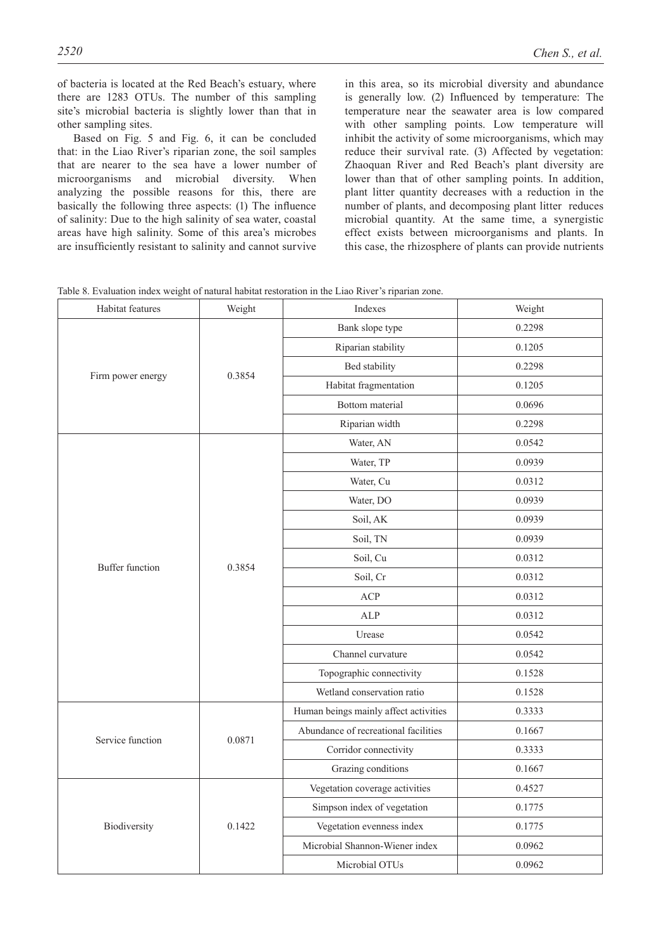of bacteria is located at the Red Beach's estuary, where there are 1283 OTUs. The number of this sampling site's microbial bacteria is slightly lower than that in other sampling sites.

Based on Fig. 5 and Fig. 6, it can be concluded that: in the Liao River's riparian zone, the soil samples that are nearer to the sea have a lower number of microorganisms and microbial diversity. When analyzing the possible reasons for this, there are basically the following three aspects: (1) The influence of salinity: Due to the high salinity of sea water, coastal areas have high salinity. Some of this area's microbes are insufficiently resistant to salinity and cannot survive

in this area, so its microbial diversity and abundance is generally low. (2) Influenced by temperature: The temperature near the seawater area is low compared with other sampling points. Low temperature will inhibit the activity of some microorganisms, which may reduce their survival rate. (3) Affected by vegetation: Zhaoquan River and Red Beach's plant diversity are lower than that of other sampling points. In addition, plant litter quantity decreases with a reduction in the number of plants, and decomposing plant litter reduces microbial quantity. At the same time, a synergistic effect exists between microorganisms and plants. In this case, the rhizosphere of plants can provide nutrients

|  | Table 8. Evaluation index weight of natural habitat restoration in the Liao River's riparian zone. |  |  |  |  |  |  |  |  |  |
|--|----------------------------------------------------------------------------------------------------|--|--|--|--|--|--|--|--|--|
|--|----------------------------------------------------------------------------------------------------|--|--|--|--|--|--|--|--|--|

| Habitat features       | Weight | Indexes                               | Weight |
|------------------------|--------|---------------------------------------|--------|
|                        |        | Bank slope type                       | 0.2298 |
|                        |        | Riparian stability                    | 0.1205 |
|                        | 0.3854 | Bed stability                         | 0.2298 |
| Firm power energy      |        | Habitat fragmentation                 | 0.1205 |
|                        |        | Bottom material                       | 0.0696 |
|                        |        | Riparian width                        | 0.2298 |
|                        |        | Water, AN                             | 0.0542 |
|                        |        | Water, TP                             | 0.0939 |
|                        |        | Water, Cu                             | 0.0312 |
|                        |        | Water, DO                             | 0.0939 |
|                        |        | Soil, AK                              | 0.0939 |
|                        |        | Soil, TN                              | 0.0939 |
| <b>Buffer function</b> | 0.3854 | Soil, Cu                              | 0.0312 |
|                        |        | Soil, Cr                              | 0.0312 |
|                        |        | ACP                                   | 0.0312 |
|                        |        | <b>ALP</b>                            | 0.0312 |
|                        |        | Urease                                | 0.0542 |
|                        |        | Channel curvature                     | 0.0542 |
|                        |        | Topographic connectivity              | 0.1528 |
|                        |        | Wetland conservation ratio            | 0.1528 |
|                        |        | Human beings mainly affect activities | 0.3333 |
| Service function       | 0.0871 | Abundance of recreational facilities  | 0.1667 |
|                        |        | Corridor connectivity                 | 0.3333 |
|                        |        | Grazing conditions                    | 0.1667 |
|                        |        | Vegetation coverage activities        | 0.4527 |
|                        |        | Simpson index of vegetation           | 0.1775 |
| Biodiversity           | 0.1422 | Vegetation evenness index             | 0.1775 |
|                        |        | Microbial Shannon-Wiener index        | 0.0962 |
|                        |        | Microbial OTUs                        | 0.0962 |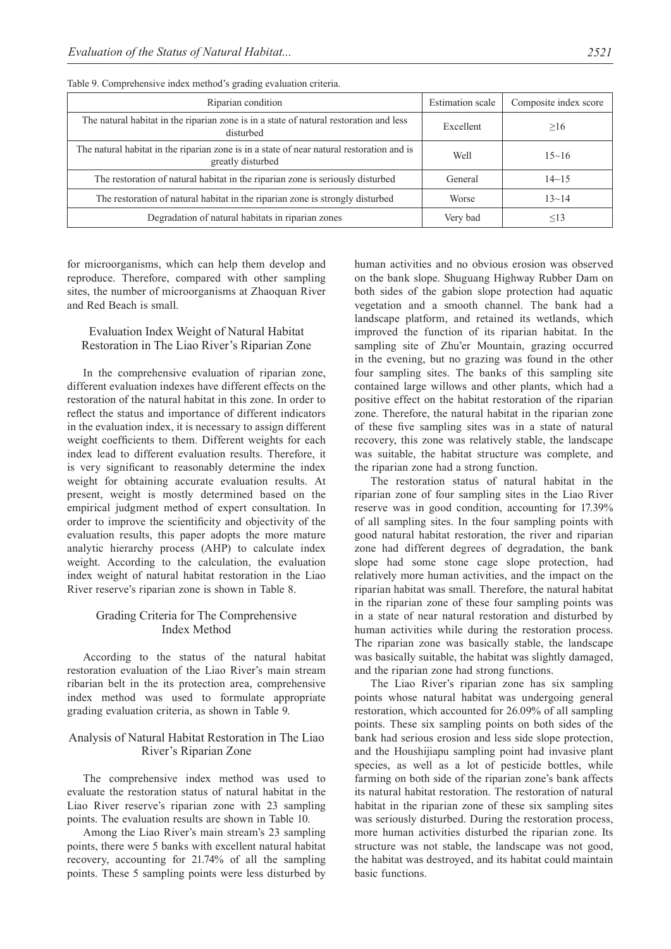| Riparian condition                                                                                             | <b>Estimation</b> scale | Composite index score |
|----------------------------------------------------------------------------------------------------------------|-------------------------|-----------------------|
| The natural habitat in the riparian zone is in a state of natural restoration and less<br>disturbed            | Excellent               | >16                   |
| The natural habitat in the riparian zone is in a state of near natural restoration and is<br>greatly disturbed | Well                    | $15 - 16$             |
| The restoration of natural habitat in the riparian zone is seriously disturbed                                 | General                 | $14 - 15$             |
| The restoration of natural habitat in the riparian zone is strongly disturbed                                  | Worse                   | $13 - 14$             |
| Degradation of natural habitats in riparian zones                                                              | Very bad                | $\leq$ 13             |

Table 9. Comprehensive index method's grading evaluation criteria.

for microorganisms, which can help them develop and reproduce. Therefore, compared with other sampling sites, the number of microorganisms at Zhaoquan River and Red Beach is small.

# Evaluation Index Weight of Natural Habitat Restoration in The Liao River's Riparian Zone

In the comprehensive evaluation of riparian zone, different evaluation indexes have different effects on the restoration of the natural habitat in this zone. In order to reflect the status and importance of different indicators in the evaluation index, it is necessary to assign different weight coefficients to them. Different weights for each index lead to different evaluation results. Therefore, it is very significant to reasonably determine the index weight for obtaining accurate evaluation results. At present, weight is mostly determined based on the empirical judgment method of expert consultation. In order to improve the scientificity and objectivity of the evaluation results, this paper adopts the more mature analytic hierarchy process (AHP) to calculate index weight. According to the calculation, the evaluation index weight of natural habitat restoration in the Liao River reserve's riparian zone is shown in Table 8.

# Grading Criteria for The Comprehensive Index Method

According to the status of the natural habitat restoration evaluation of the Liao River's main stream ribarian belt in the its protection area, comprehensive index method was used to formulate appropriate grading evaluation criteria, as shown in Table 9.

# Analysis of Natural Habitat Restoration in The Liao River's Riparian Zone

The comprehensive index method was used to evaluate the restoration status of natural habitat in the Liao River reserve's riparian zone with 23 sampling points. The evaluation results are shown in Table 10.

Among the Liao River's main stream's 23 sampling points, there were 5 banks with excellent natural habitat recovery, accounting for 21.74% of all the sampling points. These 5 sampling points were less disturbed by

human activities and no obvious erosion was observed on the bank slope. Shuguang Highway Rubber Dam on both sides of the gabion slope protection had aquatic vegetation and a smooth channel. The bank had a landscape platform, and retained its wetlands, which improved the function of its riparian habitat. In the sampling site of Zhu'er Mountain, grazing occurred in the evening, but no grazing was found in the other four sampling sites. The banks of this sampling site contained large willows and other plants, which had a positive effect on the habitat restoration of the riparian zone. Therefore, the natural habitat in the riparian zone of these five sampling sites was in a state of natural recovery, this zone was relatively stable, the landscape was suitable, the habitat structure was complete, and the riparian zone had a strong function.

The restoration status of natural habitat in the riparian zone of four sampling sites in the Liao River reserve was in good condition, accounting for 17.39% of all sampling sites. In the four sampling points with good natural habitat restoration, the river and riparian zone had different degrees of degradation, the bank slope had some stone cage slope protection, had relatively more human activities, and the impact on the riparian habitat was small. Therefore, the natural habitat in the riparian zone of these four sampling points was in a state of near natural restoration and disturbed by human activities while during the restoration process. The riparian zone was basically stable, the landscape was basically suitable, the habitat was slightly damaged, and the riparian zone had strong functions.

The Liao River's riparian zone has six sampling points whose natural habitat was undergoing general restoration, which accounted for 26.09% of all sampling points. These six sampling points on both sides of the bank had serious erosion and less side slope protection, and the Houshijiapu sampling point had invasive plant species, as well as a lot of pesticide bottles, while farming on both side of the riparian zone's bank affects its natural habitat restoration. The restoration of natural habitat in the riparian zone of these six sampling sites was seriously disturbed. During the restoration process, more human activities disturbed the riparian zone. Its structure was not stable, the landscape was not good, the habitat was destroyed, and its habitat could maintain basic functions.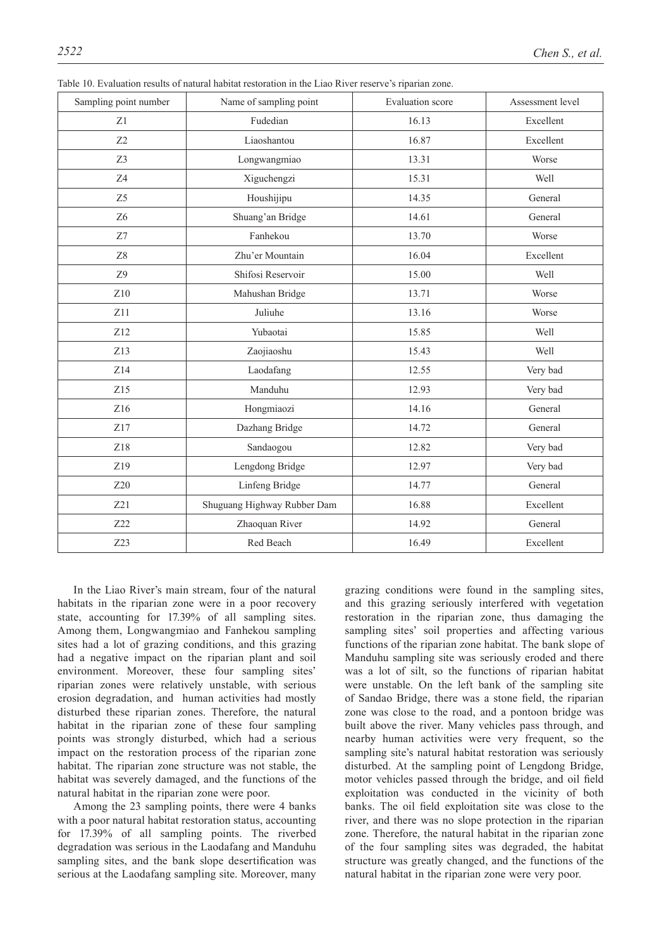| Sampling point number | Name of sampling point      | Evaluation score | Assessment level |  |
|-----------------------|-----------------------------|------------------|------------------|--|
| Z1                    | Fudedian                    | 16.13            | Excellent        |  |
| Z2                    | Liaoshantou                 | 16.87            | Excellent        |  |
| Z3                    | Longwangmiao                | 13.31            | Worse            |  |
| Z4                    | Xiguchengzi                 | 15.31            | Well             |  |
| Z5                    | Houshijipu                  | 14.35            | General          |  |
| Z <sub>6</sub>        | Shuang'an Bridge            | 14.61            | General          |  |
| Z7                    | Fanhekou                    | 13.70            | Worse            |  |
| Z8                    | Zhu'er Mountain             | 16.04            | Excellent        |  |
| Z9                    | Shifosi Reservoir           | 15.00            | Well             |  |
| Z10                   | Mahushan Bridge             | 13.71            | Worse            |  |
| Z11                   | Juliuhe                     | 13.16            | Worse            |  |
| Z12                   | Yubaotai                    | 15.85            | Well             |  |
| Z13                   | Zaojiaoshu                  | 15.43            | Well             |  |
| Z14                   | Laodafang                   | 12.55            | Very bad         |  |
| Z15                   | Manduhu                     | 12.93            | Very bad         |  |
| Z <sub>16</sub>       | Hongmiaozi                  | 14.16            | General          |  |
| Z17                   | Dazhang Bridge              | 14.72            | General          |  |
| Z18                   | Sandaogou                   | 12.82            | Very bad         |  |
| Z19                   | Lengdong Bridge             | 12.97            | Very bad         |  |
| Z20                   | Linfeng Bridge              | 14.77            | General          |  |
| Z21                   | Shuguang Highway Rubber Dam | 16.88            | Excellent        |  |
| Z22                   | Zhaoquan River              | 14.92            | General          |  |
| Z23                   | Red Beach                   | 16.49            | Excellent        |  |

Table 10. Evaluation results of natural habitat restoration in the Liao River reserve's riparian zone.

In the Liao River's main stream, four of the natural habitats in the riparian zone were in a poor recovery state, accounting for 17.39% of all sampling sites. Among them, Longwangmiao and Fanhekou sampling sites had a lot of grazing conditions, and this grazing had a negative impact on the riparian plant and soil environment. Moreover, these four sampling sites' riparian zones were relatively unstable, with serious erosion degradation, and human activities had mostly disturbed these riparian zones. Therefore, the natural habitat in the riparian zone of these four sampling points was strongly disturbed, which had a serious impact on the restoration process of the riparian zone habitat. The riparian zone structure was not stable, the habitat was severely damaged, and the functions of the natural habitat in the riparian zone were poor.

Among the 23 sampling points, there were 4 banks with a poor natural habitat restoration status, accounting for 17.39% of all sampling points. The riverbed degradation was serious in the Laodafang and Manduhu sampling sites, and the bank slope desertification was serious at the Laodafang sampling site. Moreover, many grazing conditions were found in the sampling sites, and this grazing seriously interfered with vegetation restoration in the riparian zone, thus damaging the sampling sites' soil properties and affecting various functions of the riparian zone habitat. The bank slope of Manduhu sampling site was seriously eroded and there was a lot of silt, so the functions of riparian habitat were unstable. On the left bank of the sampling site of Sandao Bridge, there was a stone field, the riparian zone was close to the road, and a pontoon bridge was built above the river. Many vehicles pass through, and nearby human activities were very frequent, so the sampling site's natural habitat restoration was seriously disturbed. At the sampling point of Lengdong Bridge, motor vehicles passed through the bridge, and oil field exploitation was conducted in the vicinity of both banks. The oil field exploitation site was close to the river, and there was no slope protection in the riparian zone. Therefore, the natural habitat in the riparian zone of the four sampling sites was degraded, the habitat structure was greatly changed, and the functions of the natural habitat in the riparian zone were very poor.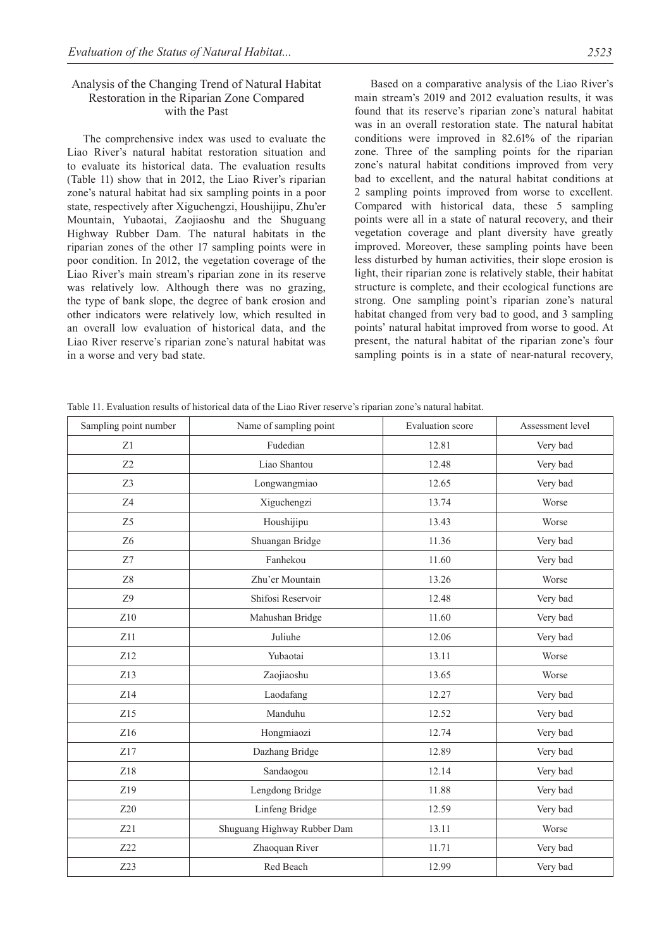# Analysis of the Changing Trend of Natural Habitat Restoration in the Riparian Zone Compared with the Past

The comprehensive index was used to evaluate the Liao River's natural habitat restoration situation and to evaluate its historical data. The evaluation results (Table 11) show that in 2012, the Liao River's riparian zone's natural habitat had six sampling points in a poor state, respectively after Xiguchengzi, Houshijipu, Zhu'er Mountain, Yubaotai, Zaojiaoshu and the Shuguang Highway Rubber Dam. The natural habitats in the riparian zones of the other 17 sampling points were in poor condition. In 2012, the vegetation coverage of the Liao River's main stream's riparian zone in its reserve was relatively low. Although there was no grazing, the type of bank slope, the degree of bank erosion and other indicators were relatively low, which resulted in an overall low evaluation of historical data, and the Liao River reserve's riparian zone's natural habitat was in a worse and very bad state.

Based on a comparative analysis of the Liao River's main stream's 2019 and 2012 evaluation results, it was found that its reserve's riparian zone's natural habitat was in an overall restoration state. The natural habitat conditions were improved in 82.61% of the riparian zone. Three of the sampling points for the riparian zone's natural habitat conditions improved from very bad to excellent, and the natural habitat conditions at 2 sampling points improved from worse to excellent. Compared with historical data, these 5 sampling points were all in a state of natural recovery, and their vegetation coverage and plant diversity have greatly improved. Moreover, these sampling points have been less disturbed by human activities, their slope erosion is light, their riparian zone is relatively stable, their habitat structure is complete, and their ecological functions are strong. One sampling point's riparian zone's natural habitat changed from very bad to good, and 3 sampling points' natural habitat improved from worse to good. At present, the natural habitat of the riparian zone's four sampling points is in a state of near-natural recovery,

Table 11. Evaluation results of historical data of the Liao River reserve's riparian zone's natural habitat.

| Sampling point number | Name of sampling point      | Evaluation score | Assessment level |
|-----------------------|-----------------------------|------------------|------------------|
| Z1                    | Fudedian                    | 12.81            | Very bad         |
| Z <sub>2</sub>        | Liao Shantou                | 12.48            | Very bad         |
| Z3                    | Longwangmiao                | 12.65            | Very bad         |
| Z4                    | Xiguchengzi                 | 13.74            | Worse            |
| Z5                    | Houshijipu                  | 13.43            | Worse            |
| Z <sub>6</sub>        | Shuangan Bridge             | 11.36            | Very bad         |
| Z7                    | Fanhekou                    | 11.60            | Very bad         |
| ${\rm Z}8$            | Zhu'er Mountain             | 13.26            | Worse            |
| Z9                    | Shifosi Reservoir           | 12.48            | Very bad         |
| Z10                   | Mahushan Bridge             | 11.60            | Very bad         |
| Z11                   | Juliuhe                     | 12.06            | Very bad         |
| Z12                   | Yubaotai                    | 13.11            | Worse            |
| Z13                   | Zaojiaoshu                  | 13.65            | Worse            |
| Z14                   | Laodafang                   | 12.27            | Very bad         |
| Z15                   | Manduhu                     | 12.52            | Very bad         |
| Z16                   | Hongmiaozi                  | 12.74            | Very bad         |
| Z17                   | Dazhang Bridge              | 12.89            | Very bad         |
| Z18                   | Sandaogou                   | 12.14            | Very bad         |
| Z19                   | Lengdong Bridge             | 11.88            | Very bad         |
| Z20                   | Linfeng Bridge              | 12.59            | Very bad         |
| Z21                   | Shuguang Highway Rubber Dam | 13.11            | Worse            |
| Z22                   | Zhaoquan River              | 11.71            | Very bad         |
| Z <sub>23</sub>       | Red Beach                   | 12.99            | Very bad         |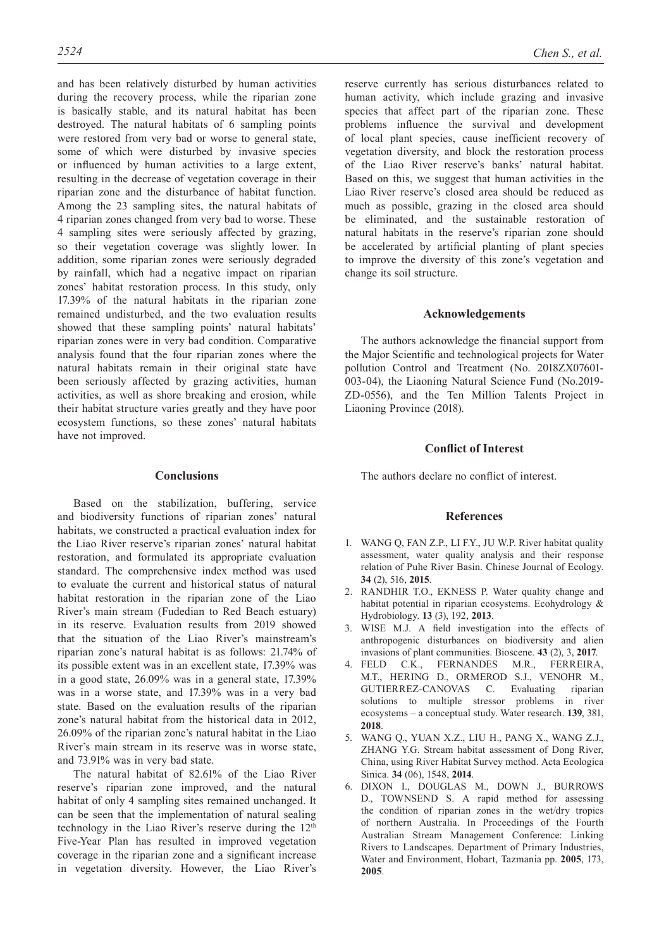and has been relatively disturbed by human activities during the recovery process, while the riparian zone is basically stable, and its natural habitat has been destroyed. The natural habitats of 6 sampling points were restored from very bad or worse to general state, some of which were disturbed by invasive species or influenced by human activities to a large extent, resulting in the decrease of vegetation coverage in their riparian zone and the disturbance of habitat function. Among the 23 sampling sites, the natural habitats of 4 riparian zones changed from very bad to worse. These 4 sampling sites were seriously affected by grazing, so their vegetation coverage was slightly lower. In addition, some riparian zones were seriously degraded by rainfall, which had a negative impact on riparian zones' habitat restoration process. In this study, only 17.39% of the natural habitats in the riparian zone remained undisturbed, and the two evaluation results showed that these sampling points' natural habitats' riparian zones were in very bad condition. Comparative analysis found that the four riparian zones where the natural habitats remain in their original state have been seriously affected by grazing activities, human activities, as well as shore breaking and erosion, while their habitat structure varies greatly and they have poor ecosystem functions, so these zones' natural habitats have not improved.

# **Conclusions**

Based on the stabilization, buffering, service and biodiversity functions of riparian zones' natural habitats, we constructed a practical evaluation index for the Liao River reserve's riparian zones' natural habitat restoration, and formulated its appropriate evaluation standard. The comprehensive index method was used to evaluate the current and historical status of natural habitat restoration in the riparian zone of the Liao River's main stream (Fudedian to Red Beach estuary) in its reserve. Evaluation results from 2019 showed that the situation of the Liao River's mainstream's riparian zone's natural habitat is as follows: 21.74% of its possible extent was in an excellent state, 17.39% was in a good state, 26.09% was in a general state, 17.39% was in a worse state, and 17.39% was in a very bad state. Based on the evaluation results of the riparian zone's natural habitat from the historical data in 2012, 26.09% of the riparian zone's natural habitat in the Liao River's main stream in its reserve was in worse state, and 73.91% was in very bad state.

The natural habitat of 82.61% of the Liao River reserve's riparian zone improved, and the natural habitat of only 4 sampling sites remained unchanged. It can be seen that the implementation of natural sealing technology in the Liao River's reserve during the 12<sup>th</sup> Five-Year Plan has resulted in improved vegetation coverage in the riparian zone and a significant increase in vegetation diversity. However, the Liao River's reserve currently has serious disturbances related to human activity, which include grazing and invasive species that affect part of the riparian zone. These problems influence the survival and development of local plant species, cause inefficient recovery of vegetation diversity, and block the restoration process of the Liao River reserve's banks' natural habitat. Based on this, we suggest that human activities in the Liao River reserve's closed area should be reduced as much as possible, grazing in the closed area should be eliminated, and the sustainable restoration of natural habitats in the reserve's riparian zone should be accelerated by artificial planting of plant species to improve the diversity of this zone's vegetation and change its soil structure.

#### **Acknowledgements**

The authors acknowledge the financial support from the Major Scientific and technological projects for Water pollution Control and Treatment (No. 2018ZX07601- 003-04), the Liaoning Natural Science Fund (No.2019- ZD-0556), and the Ten Million Talents Project in Liaoning Province (2018).

# **Conflict of Interest**

The authors declare no conflict of interest.

# **References**

- 1. WANG Q, FAN Z.P., LI F.Y., JU W.P. River habitat quality assessment, water quality analysis and their response relation of Puhe River Basin. Chinese Journal of Ecology. **34** (2), 516, **2015**.
- 2. RANDHIR T.O., EKNESS P. Water quality change and habitat potential in riparian ecosystems. Ecohydrology & Hydrobiology. **13** (3), 192, **2013**.
- 3. WISE M.J. A field investigation into the effects of anthropogenic disturbances on biodiversity and alien invasions of plant communities. Bioscene. **43** (2), 3, **2017**.
- 4. FELD C.K., FERNANDES M.R., FERREIRA, M.T., HERING D., ORMEROD S.J., VENOHR M., GUTIERREZ-CANOVAS C. Evaluating riparian solutions to multiple stressor problems in river ecosystems – a conceptual study. Water research. **139**, 381, **2018**.
- 5. WANG Q., YUAN X.Z., LIU H., PANG X., WANG Z.J., ZHANG Y.G. Stream habitat assessment of Dong River, China, using River Habitat Survey method. Acta Ecologica Sinica. **34** (06), 1548, **2014**.
- 6. DIXON I., DOUGLAS M., DOWN J., BURROWS D., TOWNSEND S. A rapid method for assessing the condition of riparian zones in the wet/dry tropics of northern Australia. In Proceedings of the Fourth Australian Stream Management Conference: Linking Rivers to Landscapes. Department of Primary Industries, Water and Environment, Hobart, Tazmania pp. **2005**, 173, **2005**.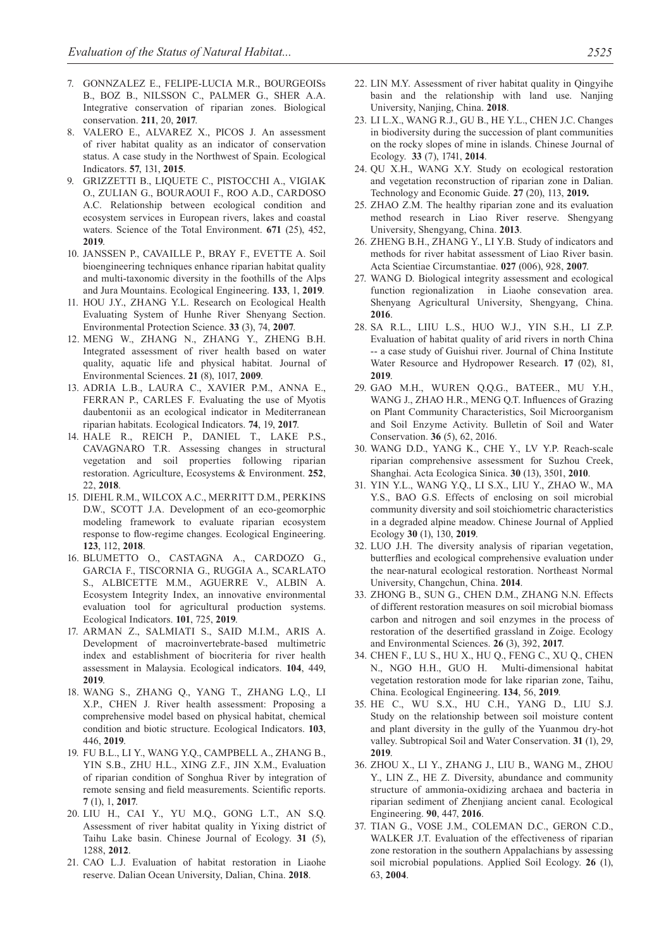- 7. GONNZALEZ E., FELIPE-LUCIA M.R., BOURGEOISs B., BOZ B., NILSSON C., PALMER G., SHER A.A. Integrative conservation of riparian zones. Biological conservation. **211**, 20, **2017**.
- 8. VALERO E., ALVAREZ X., PICOS J. An assessment of river habitat quality as an indicator of conservation status. A case study in the Northwest of Spain. Ecological Indicators. **57**, 131, **2015**.
- 9. GRIZZETTI B., LIQUETE C., PISTOCCHI A., VIGIAK O., ZULIAN G., BOURAOUI F., ROO A.D., CARDOSO A.C. Relationship between ecological condition and ecosystem services in European rivers, lakes and coastal waters. Science of the Total Environment. **671** (25), 452, **2019**.
- 10. JANSSEN P., CAVAILLE P., BRAY F., EVETTE A. Soil bioengineering techniques enhance riparian habitat quality and multi-taxonomic diversity in the foothills of the Alps and Jura Mountains. Ecological Engineering. **133**, 1, **2019**.
- 11. HOU J.Y., ZHANG Y.L. Research on Ecological Health Evaluating System of Hunhe River Shenyang Section. Environmental Protection Science. **33** (3), 74, **2007**.
- 12. MENG W., ZHANG N., ZHANG Y., ZHENG B.H. Integrated assessment of river health based on water quality, aquatic life and physical habitat. Journal of Environmental Sciences. **21** (8), 1017, **2009**.
- 13. ADRIA L.B., LAURA C., XAVIER P.M., ANNA E., FERRAN P., CARLES F. Evaluating the use of Myotis daubentonii as an ecological indicator in Mediterranean riparian habitats. Ecological Indicators. **74**, 19, **2017**.
- 14. HALE R., REICH P., DANIEL T., LAKE P.S., CAVAGNARO T.R. Assessing changes in structural vegetation and soil properties following riparian restoration. Agriculture, Ecosystems & Environment. **252**, 22, **2018**.
- 15. DIEHL R.M., WILCOX A.C., MERRITT D.M., PERKINS D.W., SCOTT J.A. Development of an eco-geomorphic modeling framework to evaluate riparian ecosystem response to flow-regime changes. Ecological Engineering. **123**, 112, **2018**.
- 16. BLUMETTO O., CASTAGNA A., CARDOZO G., GARCIA F., TISCORNIA G., RUGGIA A., SCARLATO S., ALBICETTE M.M., AGUERRE V., ALBIN A. Ecosystem Integrity Index, an innovative environmental evaluation tool for agricultural production systems. Ecological Indicators. **101**, 725, **2019**.
- 17. ARMAN Z., SALMIATI S., SAID M.I.M., ARIS A. Development of macroinvertebrate-based multimetric index and establishment of biocriteria for river health assessment in Malaysia. Ecological indicators. **104**, 449, **2019**.
- 18. WANG S., ZHANG Q., YANG T., ZHANG L.Q., LI X.P., CHEN J. River health assessment: Proposing a comprehensive model based on physical habitat, chemical condition and biotic structure. Ecological Indicators. **103**, 446, **2019**.
- 19. FU B.L., LI Y., WANG Y.Q., CAMPBELL A., ZHANG B., YIN S.B., ZHU H.L., XING Z.F., JIN X.M., Evaluation of riparian condition of Songhua River by integration of remote sensing and field measurements. Scientific reports. **7** (1), 1, **2017**.
- 20. LIU H., CAI Y., YU M.Q., GONG L.T., AN S.Q. Assessment of river habitat quality in Yixing district of Taihu Lake basin. Chinese Journal of Ecology. **31** (5), 1288, **2012**.
- 21. CAO L.J. Evaluation of habitat restoration in Liaohe reserve. Dalian Ocean University, Dalian, China. **2018**.
- 22. LIN M.Y. Assessment of river habitat quality in Qingyihe basin and the relationship with land use. Nanjing University, Nanjing, China. **2018**.
- 23. LI L.X., WANG R.J., GU B., HE Y.L., CHEN J.C. Changes in biodiversity during the succession of plant communities on the rocky slopes of mine in islands. Chinese Journal of Ecology. **33** (7), 1741, **2014**.
- 24. QU X.H., WANG X.Y. Study on ecological restoration and vegetation reconstruction of riparian zone in Dalian. Technology and Economic Guide. **27** (20), 113, **2019.**
- 25. ZHAO Z.M. The healthy riparian zone and its evaluation method research in Liao River reserve. Shengyang University, Shengyang, China. **2013**.
- 26. ZHENG B.H., ZHANG Y., LI Y.B. Study of indicators and methods for river habitat assessment of Liao River basin. Acta Scientiae Circumstantiae. **027** (006), 928, **2007**.
- 27. WANG D. Biological integrity assessment and ecological function regionalization in Liaohe consevation area. Shenyang Agricultural University, Shengyang, China. **2016**.
- 28. SA R.L., LIIU L.S., HUO W.J., YIN S.H., LI Z.P. Evaluation of habitat quality of arid rivers in north China -- a case study of Guishui river. Journal of China Institute Water Resource and Hydropower Research. **17** (02), 81, **2019**.
- 29. GAO M.H., WUREN Q.Q.G., BATEER., MU Y.H., WANG J., ZHAO H.R., MENG Q.T. Influences of Grazing on Plant Community Characteristics, Soil Microorganism and Soil Enzyme Activity. Bulletin of Soil and Water Conservation. **36** (5), 62, 2016.
- 30. WANG D.D., YANG K., CHE Y., LV Y.P. Reach-scale riparian comprehensive assessment for Suzhou Creek, Shanghai. Acta Ecologica Sinica. **30** (13), 3501, **2010**.
- 31. YIN Y.L., WANG Y.Q., LI S.X., LIU Y., ZHAO W., MA Y.S., BAO G.S. Effects of enclosing on soil microbial community diversity and soil stoichiometric characteristics in a degraded alpine meadow. Chinese Journal of Applied Ecology **30** (1), 130, **2019**.
- 32. LUO J.H. The diversity analysis of riparian vegetation, butterflies and ecological comprehensive evaluation under the near-natural ecological restoration. Northeast Normal University, Changchun, China. **2014**.
- 33. ZHONG B., SUN G., CHEN D.M., ZHANG N.N. Effects of different restoration measures on soil microbial biomass carbon and nitrogen and soil enzymes in the process of restoration of the desertified grassland in Zoige. Ecology and Environmental Sciences. **26** (3), 392, **2017**.
- 34. CHEN F., LU S., HU X., HU Q., FENG C., XU Q., CHEN N., NGO H.H., GUO H. Multi-dimensional habitat vegetation restoration mode for lake riparian zone, Taihu, China. Ecological Engineering. **134**, 56, **2019**.
- 35. HE C., WU S.X., HU C.H., YANG D., LIU S.J. Study on the relationship between soil moisture content and plant diversity in the gully of the Yuanmou dry-hot valley. Subtropical Soil and Water Conservation. **31** (1), 29, **2019**.
- 36. ZHOU X., LI Y., ZHANG J., LIU B., WANG M., ZHOU Y., LIN Z., HE Z. Diversity, abundance and community structure of ammonia-oxidizing archaea and bacteria in riparian sediment of Zhenjiang ancient canal. Ecological Engineering. **90**, 447, **2016**.
- 37. TIAN G., VOSE J.M., COLEMAN D.C., GERON C.D., WALKER J.T. Evaluation of the effectiveness of riparian zone restoration in the southern Appalachians by assessing soil microbial populations. Applied Soil Ecology. **26** (1), 63, **2004**.